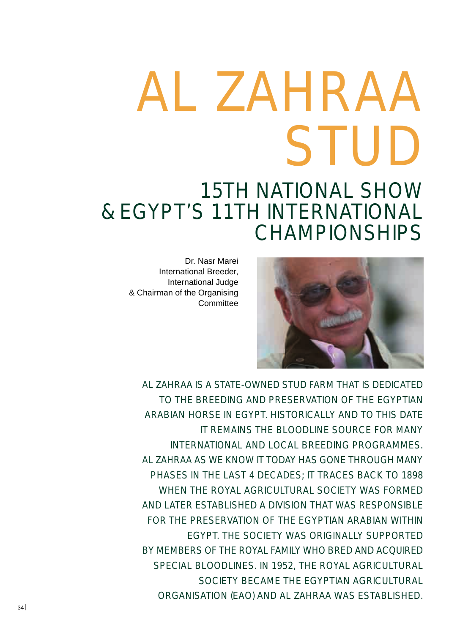# AL ZAHRAA STUD

# 15TH NATIONAL SHOW & EGYPT'S 11TH INTERNATIONAL CHAMPIONSHIPS

Dr. Nasr Marei International Breeder, International Judge & Chairman of the Organising **Committee** 



AL ZAHRAA IS A STATE-OWNED STUD FARM THAT IS DEDICATED TO THE BREEDING AND PRESERVATION OF THE EGYPTIAN ARABIAN HORSE IN EGYPT. HISTORICALLY AND TO THIS DATE IT REMAINS THE BLOODLINE SOURCE FOR MANY INTERNATIONAL AND LOCAL BREEDING PROGRAMMES. AL ZAHRAA AS WE KNOW IT TODAY HAS GONE THROUGH MANY PHASES IN THE LAST 4 DECADES; IT TRACES BACK TO 1898 WHEN THE ROYAL AGRICULTURAL SOCIETY WAS FORMED AND LATER ESTABLISHED A DIVISION THAT WAS RESPONSIBLE FOR THE PRESERVATION OF THE EGYPTIAN ARABIAN WITHIN EGYPT. THE SOCIETY WAS ORIGINALLY SUPPORTED BY MEMBERS OF THE ROYAL FAMILY WHO BRED AND ACQUIRED SPECIAL BLOODLINES. IN 1952, THE ROYAL AGRICULTURAL SOCIETY BECAME THE EGYPTIAN AGRICULTURAL ORGANISATION (EAO) AND AL ZAHRAA WAS ESTABLISHED.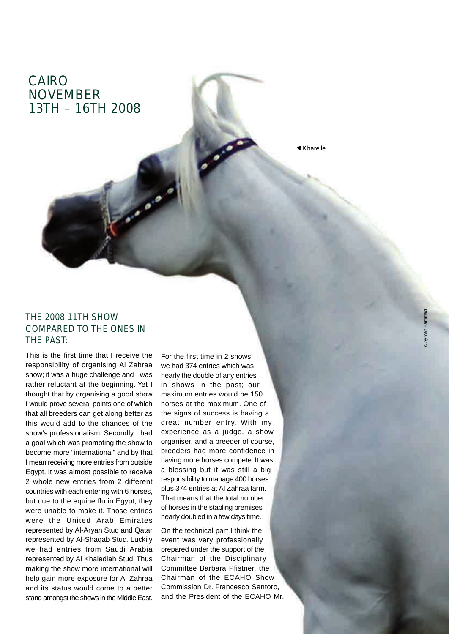## CAIRO NOVEMBER 13TH – 16TH 2008

*Kharelle*

#### THE 2008 11TH SHOW COMPARED TO THE ONES IN THE PAST:

This is the first time that I receive the responsibility of organising Al Zahraa show; it was a huge challenge and I was rather reluctant at the beginning. Yet I thought that by organising a good show I would prove several points one of which that all breeders can get along better as this would add to the chances of the show's professionalism. Secondly I had a goal which was promoting the show to become more "international" and by that I mean receiving more entries from outside Egypt. It was almost possible to receive 2 whole new entries from 2 different countries with each entering with 6 horses, but due to the equine flu in Egypt, they were unable to make it. Those entries were the United Arab Emirates represented by Al-Aryan Stud and Qatar represented by Al-Shaqab Stud. Luckily we had entries from Saudi Arabia represented by Al Khalediah Stud. Thus making the show more international will help gain more exposure for Al Zahraa and its status would come to a better stand amongst the shows in the Middle East.

For the first time in 2 shows we had 374 entries which was nearly the double of any entries in shows in the past; our maximum entries would be 150 horses at the maximum. One of the signs of success is having a great number entry. With my experience as a judge, a show organiser, and a breeder of course, breeders had more confidence in having more horses compete. It was a blessing but it was still a big responsibility to manage 400 horses plus 374 entries at Al Zahraa farm. That means that the total number of horses in the stabling premises nearly doubled in a few days time.

On the technical part I think the event was very professionally prepared under the support of the Chairman of the Disciplinary Committee Barbara Pfistner, the Chairman of the ECAHO Show Commission Dr. Francesco Santoro, and the President of the ECAHO Mr.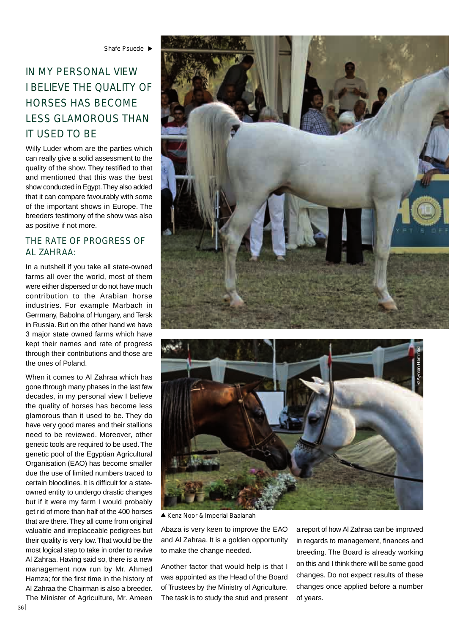### IN MY PERSONAL VIEW I BELIEVE THE QUALITY OF HORSES HAS BECOME LESS GLAMOROUS THAN IT USED TO BE

Willy Luder whom are the parties which can really give a solid assessment to the quality of the show. They testified to that and mentioned that this was the best show conducted in Egypt. They also added that it can compare favourably with some of the important shows in Europe. The breeders testimony of the show was also as positive if not more.

#### THE RATE OF PROGRESS OF AL ZAHRAA:

In a nutshell if you take all state-owned farms all over the world, most of them were either dispersed or do not have much contribution to the Arabian horse industries. For example Marbach in Gerrmany, Babolna of Hungary, and Tersk in Russia. But on the other hand we have 3 major state owned farms which have kept their names and rate of progress through their contributions and those are the ones of Poland.

When it comes to Al Zahraa which has gone through many phases in the last few decades, in my personal view I believe the quality of horses has become less glamorous than it used to be. They do have very good mares and their stallions need to be reviewed. Moreover, other genetic tools are required to be used. The genetic pool of the Egyptian Agricultural Organisation (EAO) has become smaller due the use of limited numbers traced to certain bloodlines. It is difficult for a stateowned entity to undergo drastic changes but if it were my farm I would probably get rid of more than half of the 400 horses that are there. They all come from original valuable and irreplaceable pedigrees but their quality is very low. That would be the most logical step to take in order to revive Al Zahraa. Having said so, there is a new management now run by Mr. Ahmed Hamza; for the first time in the history of Al Zahraa the Chairman is also a breeder.

The Minister of Agriculture, Mr. Ameen





*Kenz Noor & Imperial Baalanah*

Abaza is very keen to improve the EAO and Al Zahraa. It is a golden opportunity to make the change needed.

Another factor that would help is that I was appointed as the Head of the Board of Trustees by the Ministry of Agriculture. The task is to study the stud and present a report of how Al Zahraa can be improved in regards to management, finances and breeding. The Board is already working on this and I think there will be some good changes. Do not expect results of these changes once applied before a number of years.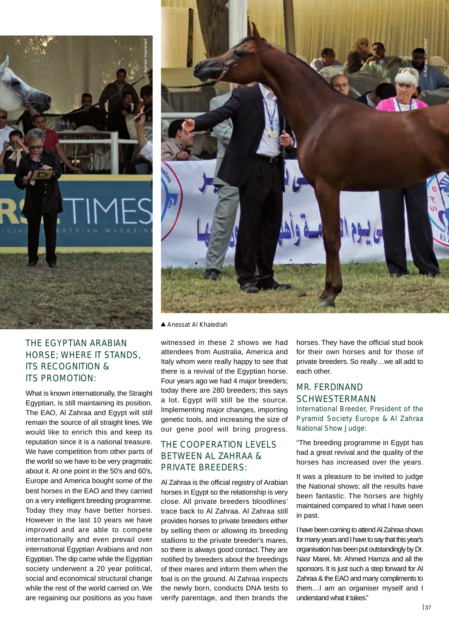

#### THE EGYPTIAN ARABIAN HORSE; WHERE IT STANDS, ITS RECOGNITION & ITS PROMOTION:

What is known internationally, the Straight Egyptian, is still maintaining its position. The EAO, Al Zahraa and Egypt will still remain the source of all straight lines. We would like to enrich this and keep its reputation since it is a national treasure. We have competition from other parts of the world so we have to be very pragmatic about it. At one point in the 50's and 60's, Europe and America bought some of the best horses in the EAO and they carried on a very intelligent breeding programme. Today they may have better horses. However in the last 10 years we have improved and are able to compete internationally and even prevail over international Egyptian Arabians and non Egyptian. The dip came while the Egyptian society underwent a 20 year political, social and economical structural change while the rest of the world carried on. We are regaining our positions as you have



*Anessat Al Khalediah*

witnessed in these 2 shows we had attendees from Australia, America and Italy whom were really happy to see that there is a revival of the Egyptian horse. Four years ago we had 4 major breeders; today there are 280 breeders; this says a lot. Egypt will still be the source. Implementing major changes, importing genetic tools, and increasing the size of our gene pool will bring progress.

#### THE COOPERATION LEVELS BETWEEN AL ZAHRAA & PRIVATE BREEDERS:

Al Zahraa is the official registry of Arabian horses in Egypt so the relationship is very close. All private breeders bloodlines' trace back to Al Zahraa. Al Zahraa still provides horses to private breeders either by selling them or allowing its breeding stallions to the private breeder's mares, so there is always good contact. They are notified by breeders about the breedings of their mares and inform them when the foal is on the ground. Al Zahraa inspects the newly born, conducts DNA tests to verify parentage, and then brands the

horses. They have the official stud book for their own horses and for those of private breeders. So really…we all add to each other.

#### MR. FERDINAND SCHWESTERMANN

*International Breeder, President of the Pyramid Society Europe & Al Zahraa National Show Judge:*

"The breeding programme in Egypt has had a great revival and the quality of the horses has increased over the years.

It was a pleasure to be invited to judge the National shows; all the results have been fantastic. The horses are highly maintained compared to what I have seen in past.

I have been coming to attend Al Zahraa shows for many years and I have to say that this year's organisation has been put outstandingly by Dr. Nasr Marei, Mr. Ahmed Hamza and all the sponsors. It is just such a step forward for Al Zahraa & the EAO and many compliments to them…I am an organiser myself and I understand what it takes."